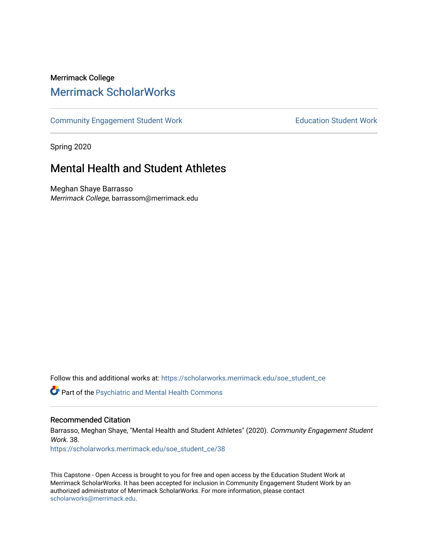## Merrimack College [Merrimack ScholarWorks](https://scholarworks.merrimack.edu/)

[Community Engagement Student Work](https://scholarworks.merrimack.edu/soe_student_ce) **Education Student Work** Education Student Work

Spring 2020

# Mental Health and Student Athletes

Meghan Shaye Barrasso Merrimack College, barrassom@merrimack.edu

Follow this and additional works at: [https://scholarworks.merrimack.edu/soe\\_student\\_ce](https://scholarworks.merrimack.edu/soe_student_ce?utm_source=scholarworks.merrimack.edu%2Fsoe_student_ce%2F38&utm_medium=PDF&utm_campaign=PDFCoverPages) 

Part of the [Psychiatric and Mental Health Commons](http://network.bepress.com/hgg/discipline/711?utm_source=scholarworks.merrimack.edu%2Fsoe_student_ce%2F38&utm_medium=PDF&utm_campaign=PDFCoverPages) 

## Recommended Citation

Barrasso, Meghan Shaye, "Mental Health and Student Athletes" (2020). Community Engagement Student Work. 38. [https://scholarworks.merrimack.edu/soe\\_student\\_ce/38](https://scholarworks.merrimack.edu/soe_student_ce/38?utm_source=scholarworks.merrimack.edu%2Fsoe_student_ce%2F38&utm_medium=PDF&utm_campaign=PDFCoverPages)

This Capstone - Open Access is brought to you for free and open access by the Education Student Work at Merrimack ScholarWorks. It has been accepted for inclusion in Community Engagement Student Work by an authorized administrator of Merrimack ScholarWorks. For more information, please contact [scholarworks@merrimack.edu](mailto:scholarworks@merrimack.edu).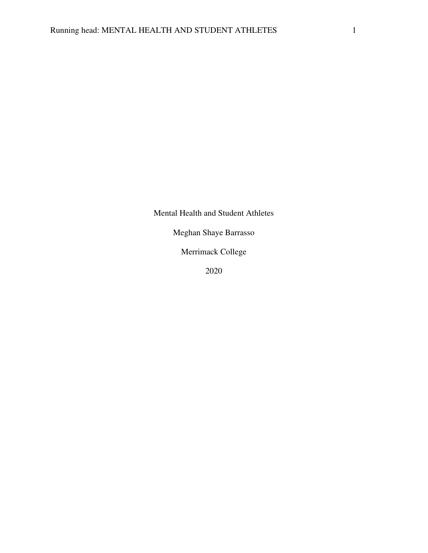Mental Health and Student Athletes

Meghan Shaye Barrasso

Merrimack College

2020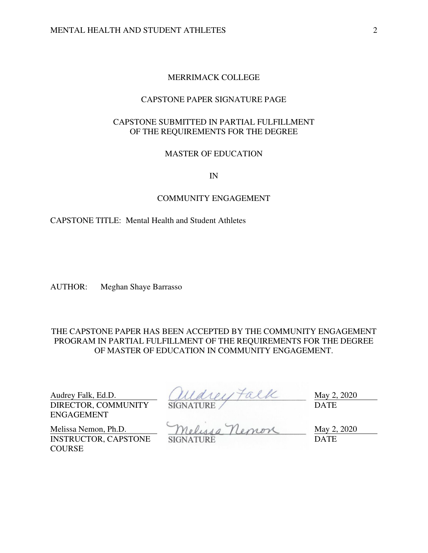## MERRIMACK COLLEGE

## CAPSTONE PAPER SIGNATURE PAGE

## CAPSTONE SUBMITTED IN PARTIAL FULFILLMENT OF THE REQUIREMENTS FOR THE DEGREE

## MASTER OF EDUCATION

IN

#### COMMUNITY ENGAGEMENT

## CAPSTONE TITLE: Mental Health and Student Athletes

AUTHOR: Meghan Shaye Barrasso

THE CAPSTONE PAPER HAS BEEN ACCEPTED BY THE COMMUNITY ENGAGEMENT PROGRAM IN PARTIAL FULFILLMENT OF THE REQUIREMENTS FOR THE DEGREE OF MASTER OF EDUCATION IN COMMUNITY ENGAGEMENT.

DIRECTOR, COMMUNITY ENGAGEMENT

**COURSE** 

Audrey Falk, Ed.D.  $(111a1) \uparrow a11c$  May 2, 2020 SIGNATURE DATE

Melissa Nemon, Ph.D. Melusa Nemon May 2, 2020 INSTRUCTOR, CAPSTONE

SIGNATURE DATE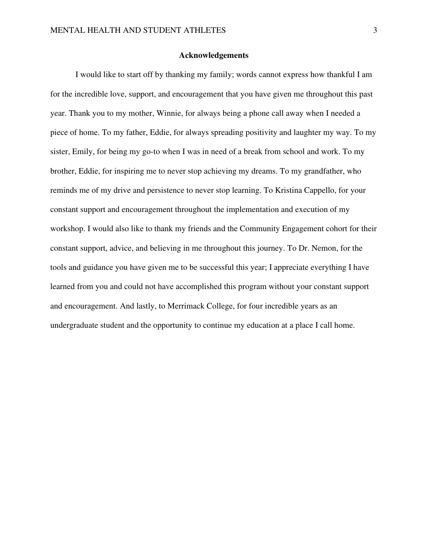#### **Acknowledgements**

 I would like to start off by thanking my family; words cannot express how thankful I am for the incredible love, support, and encouragement that you have given me throughout this past year. Thank you to my mother, Winnie, for always being a phone call away when I needed a piece of home. To my father, Eddie, for always spreading positivity and laughter my way. To my sister, Emily, for being my go-to when I was in need of a break from school and work. To my brother, Eddie, for inspiring me to never stop achieving my dreams. To my grandfather, who reminds me of my drive and persistence to never stop learning. To Kristina Cappello, for your constant support and encouragement throughout the implementation and execution of my workshop. I would also like to thank my friends and the Community Engagement cohort for their constant support, advice, and believing in me throughout this journey. To Dr. Nemon, for the tools and guidance you have given me to be successful this year; I appreciate everything I have learned from you and could not have accomplished this program without your constant support and encouragement. And lastly, to Merrimack College, for four incredible years as an undergraduate student and the opportunity to continue my education at a place I call home.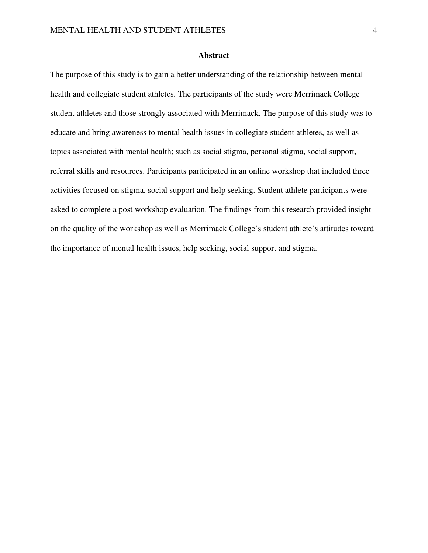#### **Abstract**

The purpose of this study is to gain a better understanding of the relationship between mental health and collegiate student athletes. The participants of the study were Merrimack College student athletes and those strongly associated with Merrimack. The purpose of this study was to educate and bring awareness to mental health issues in collegiate student athletes, as well as topics associated with mental health; such as social stigma, personal stigma, social support, referral skills and resources. Participants participated in an online workshop that included three activities focused on stigma, social support and help seeking. Student athlete participants were asked to complete a post workshop evaluation. The findings from this research provided insight on the quality of the workshop as well as Merrimack College's student athlete's attitudes toward the importance of mental health issues, help seeking, social support and stigma.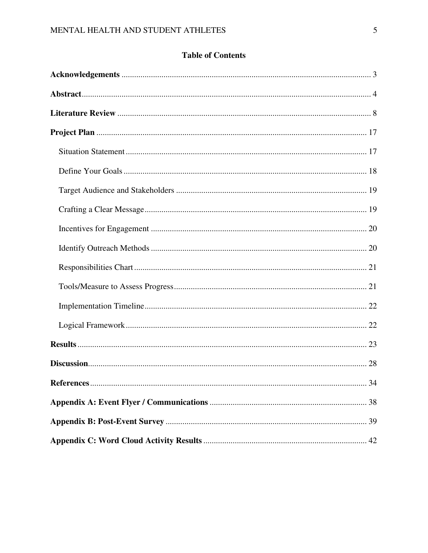## **Table of Contents**

| .34 |
|-----|
|     |
|     |
|     |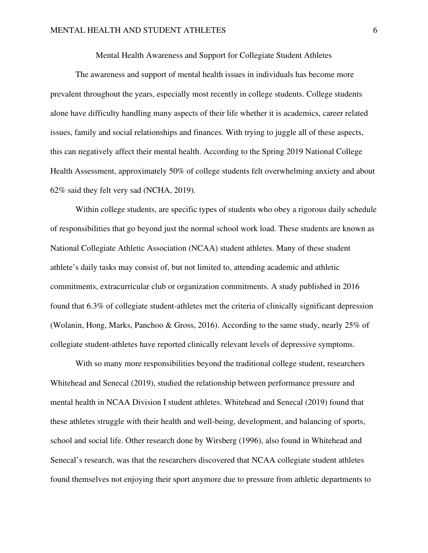Mental Health Awareness and Support for Collegiate Student Athletes

 The awareness and support of mental health issues in individuals has become more prevalent throughout the years, especially most recently in college students. College students alone have difficulty handling many aspects of their life whether it is academics, career related issues, family and social relationships and finances. With trying to juggle all of these aspects, this can negatively affect their mental health. According to the Spring 2019 National College Health Assessment, approximately 50% of college students felt overwhelming anxiety and about 62% said they felt very sad (NCHA, 2019).

 Within college students, are specific types of students who obey a rigorous daily schedule of responsibilities that go beyond just the normal school work load. These students are known as National Collegiate Athletic Association (NCAA) student athletes. Many of these student athlete's daily tasks may consist of, but not limited to, attending academic and athletic commitments, extracurricular club or organization commitments. A study published in 2016 found that 6.3% of collegiate student-athletes met the criteria of clinically significant depression (Wolanin, Hong, Marks, Panchoo & Gross, 2016). According to the same study, nearly 25% of collegiate student-athletes have reported clinically relevant levels of depressive symptoms.

With so many more responsibilities beyond the traditional college student, researchers Whitehead and Senecal (2019), studied the relationship between performance pressure and mental health in NCAA Division I student athletes. Whitehead and Senecal (2019) found that these athletes struggle with their health and well-being, development, and balancing of sports, school and social life. Other research done by Wirsberg (1996), also found in Whitehead and Senecal's research, was that the researchers discovered that NCAA collegiate student athletes found themselves not enjoying their sport anymore due to pressure from athletic departments to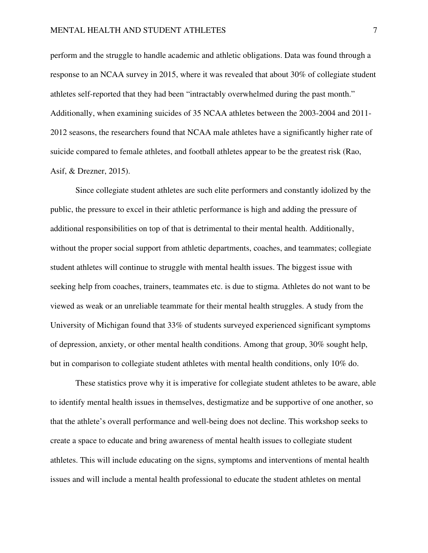perform and the struggle to handle academic and athletic obligations. Data was found through a response to an NCAA survey in 2015, where it was revealed that about 30% of collegiate student athletes self-reported that they had been "intractably overwhelmed during the past month." Additionally, when examining suicides of 35 NCAA athletes between the 2003-2004 and 2011- 2012 seasons, the researchers found that NCAA male athletes have a significantly higher rate of suicide compared to female athletes, and football athletes appear to be the greatest risk (Rao, Asif, & Drezner, 2015).

 Since collegiate student athletes are such elite performers and constantly idolized by the public, the pressure to excel in their athletic performance is high and adding the pressure of additional responsibilities on top of that is detrimental to their mental health. Additionally, without the proper social support from athletic departments, coaches, and teammates; collegiate student athletes will continue to struggle with mental health issues. The biggest issue with seeking help from coaches, trainers, teammates etc. is due to stigma. Athletes do not want to be viewed as weak or an unreliable teammate for their mental health struggles. A study from the University of Michigan found that 33% of students surveyed experienced significant symptoms of depression, anxiety, or other mental health conditions. Among that group, 30% sought help, but in comparison to collegiate student athletes with mental health conditions, only 10% do.

These statistics prove why it is imperative for collegiate student athletes to be aware, able to identify mental health issues in themselves, destigmatize and be supportive of one another, so that the athlete's overall performance and well-being does not decline. This workshop seeks to create a space to educate and bring awareness of mental health issues to collegiate student athletes. This will include educating on the signs, symptoms and interventions of mental health issues and will include a mental health professional to educate the student athletes on mental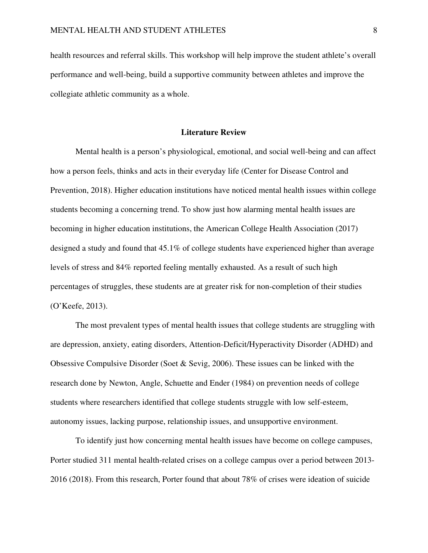health resources and referral skills. This workshop will help improve the student athlete's overall performance and well-being, build a supportive community between athletes and improve the collegiate athletic community as a whole.

#### **Literature Review**

 Mental health is a person's physiological, emotional, and social well-being and can affect how a person feels, thinks and acts in their everyday life (Center for Disease Control and Prevention, 2018). Higher education institutions have noticed mental health issues within college students becoming a concerning trend. To show just how alarming mental health issues are becoming in higher education institutions, the American College Health Association (2017) designed a study and found that 45.1% of college students have experienced higher than average levels of stress and 84% reported feeling mentally exhausted. As a result of such high percentages of struggles, these students are at greater risk for non-completion of their studies (O'Keefe, 2013).

The most prevalent types of mental health issues that college students are struggling with are depression, anxiety, eating disorders, Attention-Deficit/Hyperactivity Disorder (ADHD) and Obsessive Compulsive Disorder (Soet & Sevig, 2006). These issues can be linked with the research done by Newton, Angle, Schuette and Ender (1984) on prevention needs of college students where researchers identified that college students struggle with low self-esteem, autonomy issues, lacking purpose, relationship issues, and unsupportive environment.

 To identify just how concerning mental health issues have become on college campuses, Porter studied 311 mental health-related crises on a college campus over a period between 2013- 2016 (2018). From this research, Porter found that about 78% of crises were ideation of suicide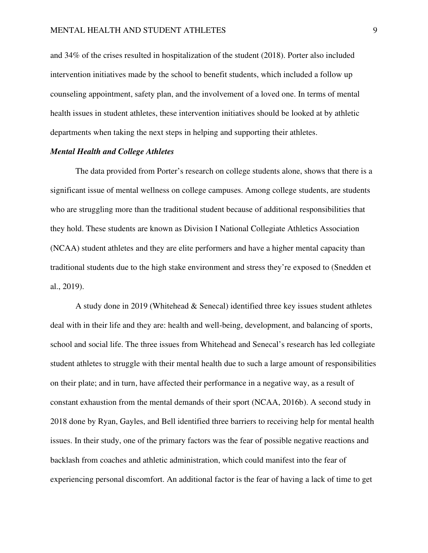and 34% of the crises resulted in hospitalization of the student (2018). Porter also included intervention initiatives made by the school to benefit students, which included a follow up counseling appointment, safety plan, and the involvement of a loved one. In terms of mental health issues in student athletes, these intervention initiatives should be looked at by athletic departments when taking the next steps in helping and supporting their athletes.

#### *Mental Health and College Athletes*

The data provided from Porter's research on college students alone, shows that there is a significant issue of mental wellness on college campuses. Among college students, are students who are struggling more than the traditional student because of additional responsibilities that they hold. These students are known as Division I National Collegiate Athletics Association (NCAA) student athletes and they are elite performers and have a higher mental capacity than traditional students due to the high stake environment and stress they're exposed to (Snedden et al., 2019).

A study done in 2019 (Whitehead  $&$  Senecal) identified three key issues student athletes deal with in their life and they are: health and well-being, development, and balancing of sports, school and social life. The three issues from Whitehead and Senecal's research has led collegiate student athletes to struggle with their mental health due to such a large amount of responsibilities on their plate; and in turn, have affected their performance in a negative way, as a result of constant exhaustion from the mental demands of their sport (NCAA, 2016b). A second study in 2018 done by Ryan, Gayles, and Bell identified three barriers to receiving help for mental health issues. In their study, one of the primary factors was the fear of possible negative reactions and backlash from coaches and athletic administration, which could manifest into the fear of experiencing personal discomfort. An additional factor is the fear of having a lack of time to get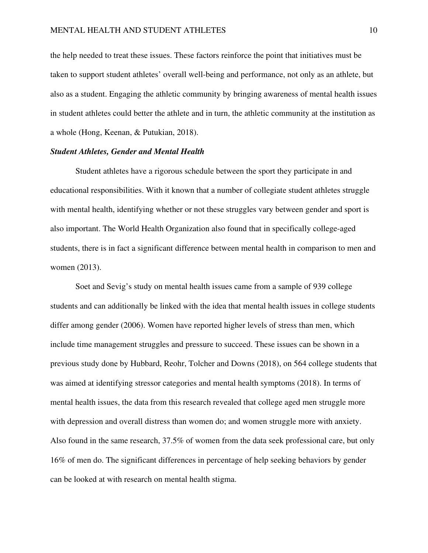the help needed to treat these issues. These factors reinforce the point that initiatives must be taken to support student athletes' overall well-being and performance, not only as an athlete, but also as a student. Engaging the athletic community by bringing awareness of mental health issues in student athletes could better the athlete and in turn, the athletic community at the institution as a whole (Hong, Keenan, & Putukian, 2018).

#### *Student Athletes, Gender and Mental Health*

Student athletes have a rigorous schedule between the sport they participate in and educational responsibilities. With it known that a number of collegiate student athletes struggle with mental health, identifying whether or not these struggles vary between gender and sport is also important. The World Health Organization also found that in specifically college-aged students, there is in fact a significant difference between mental health in comparison to men and women (2013).

Soet and Sevig's study on mental health issues came from a sample of 939 college students and can additionally be linked with the idea that mental health issues in college students differ among gender (2006). Women have reported higher levels of stress than men, which include time management struggles and pressure to succeed. These issues can be shown in a previous study done by Hubbard, Reohr, Tolcher and Downs (2018), on 564 college students that was aimed at identifying stressor categories and mental health symptoms (2018). In terms of mental health issues, the data from this research revealed that college aged men struggle more with depression and overall distress than women do; and women struggle more with anxiety. Also found in the same research, 37.5% of women from the data seek professional care, but only 16% of men do. The significant differences in percentage of help seeking behaviors by gender can be looked at with research on mental health stigma.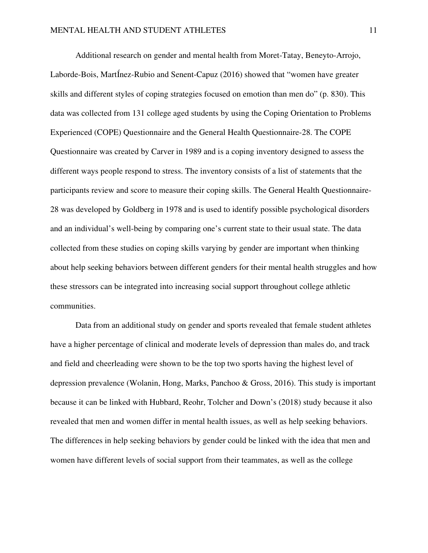Additional research on gender and mental health from Moret-Tatay, Beneyto-Arrojo, Laborde-Bois, MartÍnez-Rubio and Senent-Capuz (2016) showed that "women have greater skills and different styles of coping strategies focused on emotion than men do" (p. 830). This data was collected from 131 college aged students by using the Coping Orientation to Problems Experienced (COPE) Questionnaire and the General Health Questionnaire-28. The COPE Questionnaire was created by Carver in 1989 and is a coping inventory designed to assess the different ways people respond to stress. The inventory consists of a list of statements that the participants review and score to measure their coping skills. The General Health Questionnaire-28 was developed by Goldberg in 1978 and is used to identify possible psychological disorders and an individual's well-being by comparing one's current state to their usual state. The data collected from these studies on coping skills varying by gender are important when thinking about help seeking behaviors between different genders for their mental health struggles and how these stressors can be integrated into increasing social support throughout college athletic communities.

 Data from an additional study on gender and sports revealed that female student athletes have a higher percentage of clinical and moderate levels of depression than males do, and track and field and cheerleading were shown to be the top two sports having the highest level of depression prevalence (Wolanin, Hong, Marks, Panchoo & Gross, 2016). This study is important because it can be linked with Hubbard, Reohr, Tolcher and Down's (2018) study because it also revealed that men and women differ in mental health issues, as well as help seeking behaviors. The differences in help seeking behaviors by gender could be linked with the idea that men and women have different levels of social support from their teammates, as well as the college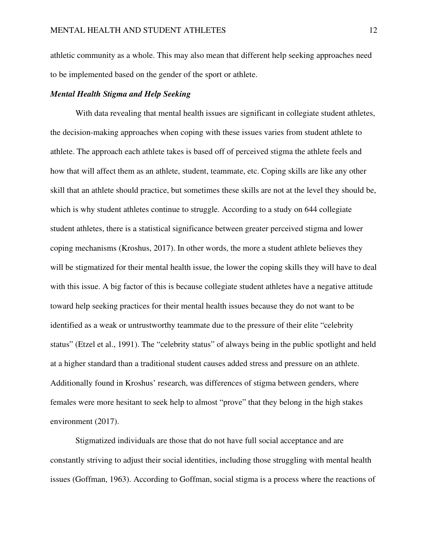athletic community as a whole. This may also mean that different help seeking approaches need to be implemented based on the gender of the sport or athlete.

## *Mental Health Stigma and Help Seeking*

With data revealing that mental health issues are significant in collegiate student athletes, the decision-making approaches when coping with these issues varies from student athlete to athlete. The approach each athlete takes is based off of perceived stigma the athlete feels and how that will affect them as an athlete, student, teammate, etc. Coping skills are like any other skill that an athlete should practice, but sometimes these skills are not at the level they should be, which is why student athletes continue to struggle. According to a study on 644 collegiate student athletes, there is a statistical significance between greater perceived stigma and lower coping mechanisms (Kroshus, 2017). In other words, the more a student athlete believes they will be stigmatized for their mental health issue, the lower the coping skills they will have to deal with this issue. A big factor of this is because collegiate student athletes have a negative attitude toward help seeking practices for their mental health issues because they do not want to be identified as a weak or untrustworthy teammate due to the pressure of their elite "celebrity status" (Etzel et al., 1991). The "celebrity status" of always being in the public spotlight and held at a higher standard than a traditional student causes added stress and pressure on an athlete. Additionally found in Kroshus' research, was differences of stigma between genders, where females were more hesitant to seek help to almost "prove" that they belong in the high stakes environment (2017).

Stigmatized individuals are those that do not have full social acceptance and are constantly striving to adjust their social identities, including those struggling with mental health issues (Goffman, 1963). According to Goffman, social stigma is a process where the reactions of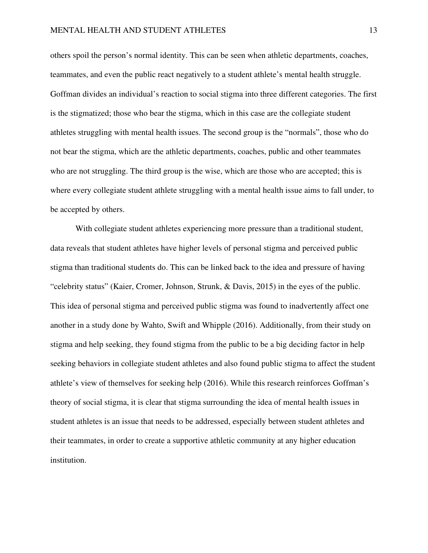others spoil the person's normal identity. This can be seen when athletic departments, coaches, teammates, and even the public react negatively to a student athlete's mental health struggle. Goffman divides an individual's reaction to social stigma into three different categories. The first is the stigmatized; those who bear the stigma, which in this case are the collegiate student athletes struggling with mental health issues. The second group is the "normals", those who do not bear the stigma, which are the athletic departments, coaches, public and other teammates who are not struggling. The third group is the wise, which are those who are accepted; this is where every collegiate student athlete struggling with a mental health issue aims to fall under, to be accepted by others.

With collegiate student athletes experiencing more pressure than a traditional student, data reveals that student athletes have higher levels of personal stigma and perceived public stigma than traditional students do. This can be linked back to the idea and pressure of having "celebrity status" (Kaier, Cromer, Johnson, Strunk, & Davis, 2015) in the eyes of the public. This idea of personal stigma and perceived public stigma was found to inadvertently affect one another in a study done by Wahto, Swift and Whipple (2016). Additionally, from their study on stigma and help seeking, they found stigma from the public to be a big deciding factor in help seeking behaviors in collegiate student athletes and also found public stigma to affect the student athlete's view of themselves for seeking help (2016). While this research reinforces Goffman's theory of social stigma, it is clear that stigma surrounding the idea of mental health issues in student athletes is an issue that needs to be addressed, especially between student athletes and their teammates, in order to create a supportive athletic community at any higher education institution.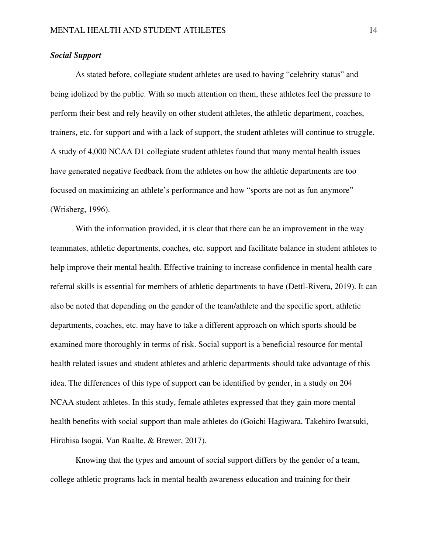## *Social Support*

As stated before, collegiate student athletes are used to having "celebrity status" and being idolized by the public. With so much attention on them, these athletes feel the pressure to perform their best and rely heavily on other student athletes, the athletic department, coaches, trainers, etc. for support and with a lack of support, the student athletes will continue to struggle. A study of 4,000 NCAA D1 collegiate student athletes found that many mental health issues have generated negative feedback from the athletes on how the athletic departments are too focused on maximizing an athlete's performance and how "sports are not as fun anymore" (Wrisberg, 1996).

With the information provided, it is clear that there can be an improvement in the way teammates, athletic departments, coaches, etc. support and facilitate balance in student athletes to help improve their mental health. Effective training to increase confidence in mental health care referral skills is essential for members of athletic departments to have (Dettl-Rivera, 2019). It can also be noted that depending on the gender of the team/athlete and the specific sport, athletic departments, coaches, etc. may have to take a different approach on which sports should be examined more thoroughly in terms of risk. Social support is a beneficial resource for mental health related issues and student athletes and athletic departments should take advantage of this idea. The differences of this type of support can be identified by gender, in a study on 204 NCAA student athletes. In this study, female athletes expressed that they gain more mental health benefits with social support than male athletes do (Goichi Hagiwara, Takehiro Iwatsuki, Hirohisa Isogai, Van Raalte, & Brewer, 2017).

Knowing that the types and amount of social support differs by the gender of a team, college athletic programs lack in mental health awareness education and training for their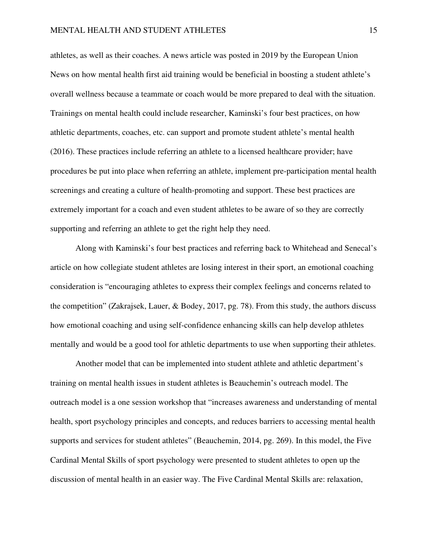athletes, as well as their coaches. A news article was posted in 2019 by the European Union News on how mental health first aid training would be beneficial in boosting a student athlete's overall wellness because a teammate or coach would be more prepared to deal with the situation. Trainings on mental health could include researcher, Kaminski's four best practices, on how athletic departments, coaches, etc. can support and promote student athlete's mental health (2016). These practices include referring an athlete to a licensed healthcare provider; have procedures be put into place when referring an athlete, implement pre-participation mental health screenings and creating a culture of health-promoting and support. These best practices are extremely important for a coach and even student athletes to be aware of so they are correctly supporting and referring an athlete to get the right help they need.

Along with Kaminski's four best practices and referring back to Whitehead and Senecal's article on how collegiate student athletes are losing interest in their sport, an emotional coaching consideration is "encouraging athletes to express their complex feelings and concerns related to the competition" (Zakrajsek, Lauer, & Bodey, 2017, pg. 78). From this study, the authors discuss how emotional coaching and using self-confidence enhancing skills can help develop athletes mentally and would be a good tool for athletic departments to use when supporting their athletes.

Another model that can be implemented into student athlete and athletic department's training on mental health issues in student athletes is Beauchemin's outreach model. The outreach model is a one session workshop that "increases awareness and understanding of mental health, sport psychology principles and concepts, and reduces barriers to accessing mental health supports and services for student athletes" (Beauchemin, 2014, pg. 269). In this model, the Five Cardinal Mental Skills of sport psychology were presented to student athletes to open up the discussion of mental health in an easier way. The Five Cardinal Mental Skills are: relaxation,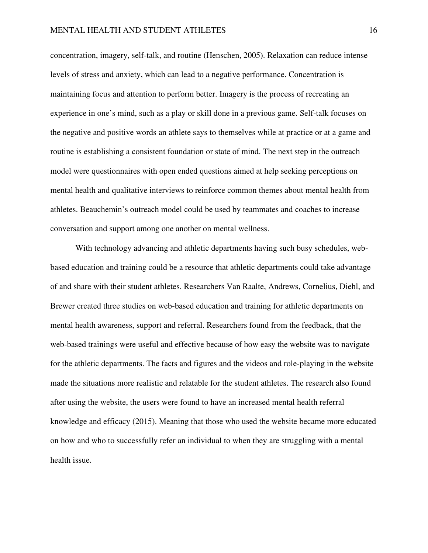concentration, imagery, self-talk, and routine (Henschen, 2005). Relaxation can reduce intense levels of stress and anxiety, which can lead to a negative performance. Concentration is maintaining focus and attention to perform better. Imagery is the process of recreating an experience in one's mind, such as a play or skill done in a previous game. Self-talk focuses on the negative and positive words an athlete says to themselves while at practice or at a game and routine is establishing a consistent foundation or state of mind. The next step in the outreach model were questionnaires with open ended questions aimed at help seeking perceptions on mental health and qualitative interviews to reinforce common themes about mental health from athletes. Beauchemin's outreach model could be used by teammates and coaches to increase conversation and support among one another on mental wellness.

With technology advancing and athletic departments having such busy schedules, webbased education and training could be a resource that athletic departments could take advantage of and share with their student athletes. Researchers Van Raalte, Andrews, Cornelius, Diehl, and Brewer created three studies on web-based education and training for athletic departments on mental health awareness, support and referral. Researchers found from the feedback, that the web-based trainings were useful and effective because of how easy the website was to navigate for the athletic departments. The facts and figures and the videos and role-playing in the website made the situations more realistic and relatable for the student athletes. The research also found after using the website, the users were found to have an increased mental health referral knowledge and efficacy (2015). Meaning that those who used the website became more educated on how and who to successfully refer an individual to when they are struggling with a mental health issue.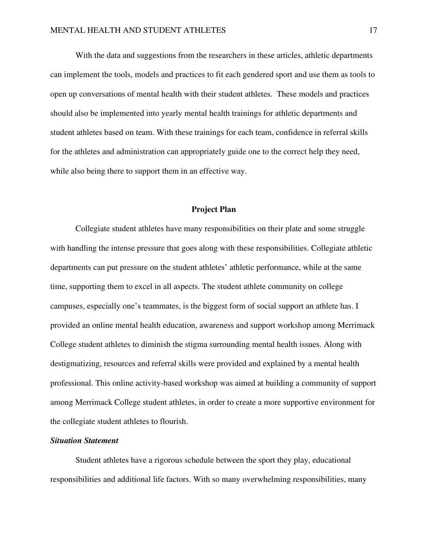With the data and suggestions from the researchers in these articles, athletic departments can implement the tools, models and practices to fit each gendered sport and use them as tools to open up conversations of mental health with their student athletes. These models and practices should also be implemented into yearly mental health trainings for athletic departments and student athletes based on team. With these trainings for each team, confidence in referral skills for the athletes and administration can appropriately guide one to the correct help they need, while also being there to support them in an effective way.

### **Project Plan**

Collegiate student athletes have many responsibilities on their plate and some struggle with handling the intense pressure that goes along with these responsibilities. Collegiate athletic departments can put pressure on the student athletes' athletic performance, while at the same time, supporting them to excel in all aspects. The student athlete community on college campuses, especially one's teammates, is the biggest form of social support an athlete has. I provided an online mental health education, awareness and support workshop among Merrimack College student athletes to diminish the stigma surrounding mental health issues. Along with destigmatizing, resources and referral skills were provided and explained by a mental health professional. This online activity-based workshop was aimed at building a community of support among Merrimack College student athletes, in order to create a more supportive environment for the collegiate student athletes to flourish.

## *Situation Statement*

Student athletes have a rigorous schedule between the sport they play, educational responsibilities and additional life factors. With so many overwhelming responsibilities, many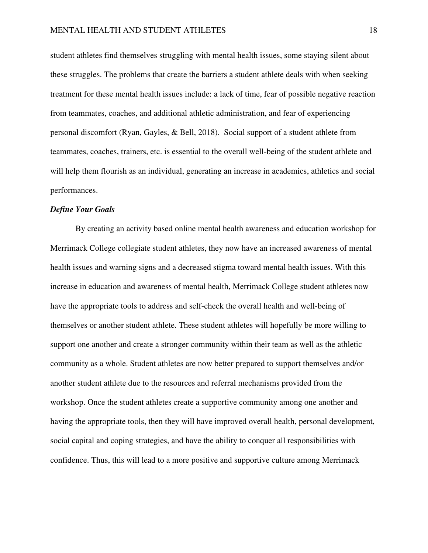student athletes find themselves struggling with mental health issues, some staying silent about these struggles. The problems that create the barriers a student athlete deals with when seeking treatment for these mental health issues include: a lack of time, fear of possible negative reaction from teammates, coaches, and additional athletic administration, and fear of experiencing personal discomfort (Ryan, Gayles, & Bell, 2018). Social support of a student athlete from teammates, coaches, trainers, etc. is essential to the overall well-being of the student athlete and will help them flourish as an individual, generating an increase in academics, athletics and social performances.

#### *Define Your Goals*

 By creating an activity based online mental health awareness and education workshop for Merrimack College collegiate student athletes, they now have an increased awareness of mental health issues and warning signs and a decreased stigma toward mental health issues. With this increase in education and awareness of mental health, Merrimack College student athletes now have the appropriate tools to address and self-check the overall health and well-being of themselves or another student athlete. These student athletes will hopefully be more willing to support one another and create a stronger community within their team as well as the athletic community as a whole. Student athletes are now better prepared to support themselves and/or another student athlete due to the resources and referral mechanisms provided from the workshop. Once the student athletes create a supportive community among one another and having the appropriate tools, then they will have improved overall health, personal development, social capital and coping strategies, and have the ability to conquer all responsibilities with confidence. Thus, this will lead to a more positive and supportive culture among Merrimack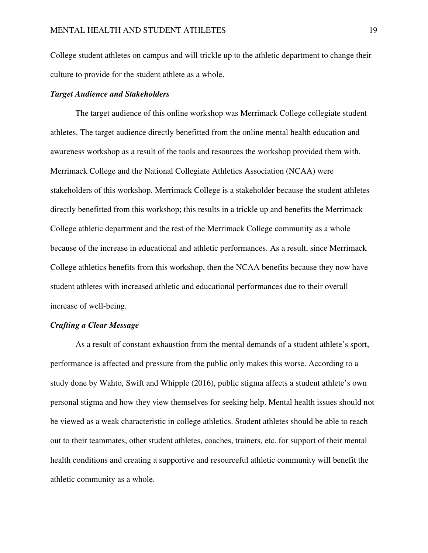College student athletes on campus and will trickle up to the athletic department to change their culture to provide for the student athlete as a whole.

#### *Target Audience and Stakeholders*

The target audience of this online workshop was Merrimack College collegiate student athletes. The target audience directly benefitted from the online mental health education and awareness workshop as a result of the tools and resources the workshop provided them with. Merrimack College and the National Collegiate Athletics Association (NCAA) were stakeholders of this workshop. Merrimack College is a stakeholder because the student athletes directly benefitted from this workshop; this results in a trickle up and benefits the Merrimack College athletic department and the rest of the Merrimack College community as a whole because of the increase in educational and athletic performances. As a result, since Merrimack College athletics benefits from this workshop, then the NCAA benefits because they now have student athletes with increased athletic and educational performances due to their overall increase of well-being.

## *Crafting a Clear Message*

As a result of constant exhaustion from the mental demands of a student athlete's sport, performance is affected and pressure from the public only makes this worse. According to a study done by Wahto, Swift and Whipple (2016), public stigma affects a student athlete's own personal stigma and how they view themselves for seeking help. Mental health issues should not be viewed as a weak characteristic in college athletics. Student athletes should be able to reach out to their teammates, other student athletes, coaches, trainers, etc. for support of their mental health conditions and creating a supportive and resourceful athletic community will benefit the athletic community as a whole.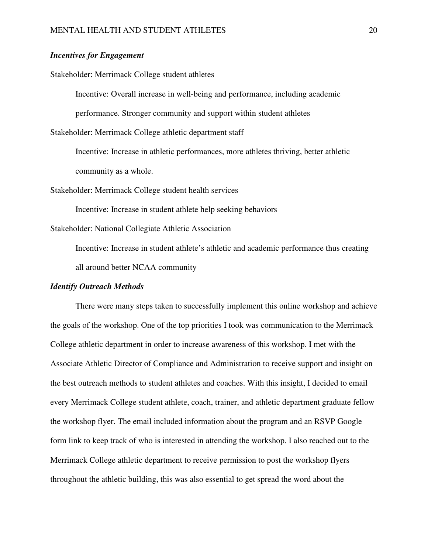## *Incentives for Engagement*

Stakeholder: Merrimack College student athletes

Incentive: Overall increase in well-being and performance, including academic

performance. Stronger community and support within student athletes

Stakeholder: Merrimack College athletic department staff

Incentive: Increase in athletic performances, more athletes thriving, better athletic community as a whole.

Stakeholder: Merrimack College student health services

Incentive: Increase in student athlete help seeking behaviors

Stakeholder: National Collegiate Athletic Association

Incentive: Increase in student athlete's athletic and academic performance thus creating all around better NCAA community

## *Identify Outreach Methods*

There were many steps taken to successfully implement this online workshop and achieve the goals of the workshop. One of the top priorities I took was communication to the Merrimack College athletic department in order to increase awareness of this workshop. I met with the Associate Athletic Director of Compliance and Administration to receive support and insight on the best outreach methods to student athletes and coaches. With this insight, I decided to email every Merrimack College student athlete, coach, trainer, and athletic department graduate fellow the workshop flyer. The email included information about the program and an RSVP Google form link to keep track of who is interested in attending the workshop. I also reached out to the Merrimack College athletic department to receive permission to post the workshop flyers throughout the athletic building, this was also essential to get spread the word about the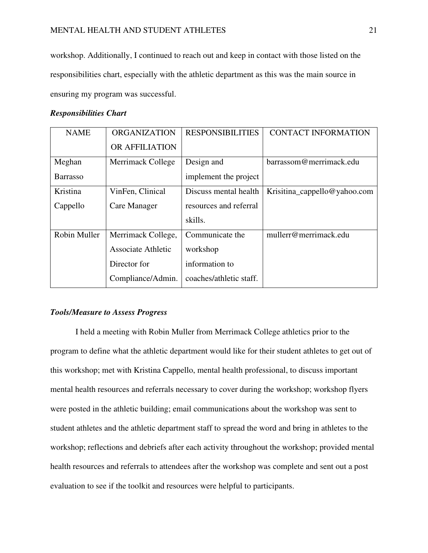workshop. Additionally, I continued to reach out and keep in contact with those listed on the responsibilities chart, especially with the athletic department as this was the main source in ensuring my program was successful.

## *Responsibilities Chart*

| <b>NAME</b>     | <b>ORGANIZATION</b>       | <b>RESPONSIBILITIES</b> | <b>CONTACT INFORMATION</b>   |
|-----------------|---------------------------|-------------------------|------------------------------|
|                 | OR AFFILIATION            |                         |                              |
| Meghan          | Merrimack College         | Design and              | barrassom@merrimack.edu      |
| <b>Barrasso</b> |                           | implement the project   |                              |
| Kristina        | VinFen, Clinical          | Discuss mental health   | Krisitina_cappello@yahoo.com |
| Cappello        | Care Manager              | resources and referral  |                              |
|                 |                           | skills.                 |                              |
| Robin Muller    | Merrimack College,        | Communicate the         | mullerr@merrimack.edu        |
|                 | <b>Associate Athletic</b> | workshop                |                              |
|                 | Director for              | information to          |                              |
|                 | Compliance/Admin.         | coaches/athletic staff. |                              |

## *Tools/Measure to Assess Progress*

I held a meeting with Robin Muller from Merrimack College athletics prior to the program to define what the athletic department would like for their student athletes to get out of this workshop; met with Kristina Cappello, mental health professional, to discuss important mental health resources and referrals necessary to cover during the workshop; workshop flyers were posted in the athletic building; email communications about the workshop was sent to student athletes and the athletic department staff to spread the word and bring in athletes to the workshop; reflections and debriefs after each activity throughout the workshop; provided mental health resources and referrals to attendees after the workshop was complete and sent out a post evaluation to see if the toolkit and resources were helpful to participants.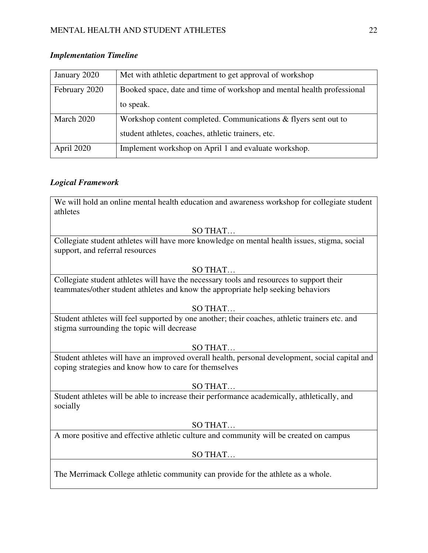## MENTAL HEALTH AND STUDENT ATHLETES 22

| January 2020  | Met with athletic department to get approval of workshop               |
|---------------|------------------------------------------------------------------------|
| February 2020 | Booked space, date and time of workshop and mental health professional |
|               | to speak.                                                              |
| March 2020    | Workshop content completed. Communications & flyers sent out to        |
|               | student athletes, coaches, athletic trainers, etc.                     |
| April 2020    | Implement workshop on April 1 and evaluate workshop.                   |

## *Implementation Timeline*

## *Logical Framework*

We will hold an online mental health education and awareness workshop for collegiate student athletes

## SO THAT…

Collegiate student athletes will have more knowledge on mental health issues, stigma, social support, and referral resources

## SO THAT…

Collegiate student athletes will have the necessary tools and resources to support their teammates/other student athletes and know the appropriate help seeking behaviors

## SO THAT…

Student athletes will feel supported by one another; their coaches, athletic trainers etc. and stigma surrounding the topic will decrease

## SO THAT…

Student athletes will have an improved overall health, personal development, social capital and coping strategies and know how to care for themselves

## SO THAT…

Student athletes will be able to increase their performance academically, athletically, and socially

## SO THAT…

A more positive and effective athletic culture and community will be created on campus

## SO THAT…

The Merrimack College athletic community can provide for the athlete as a whole.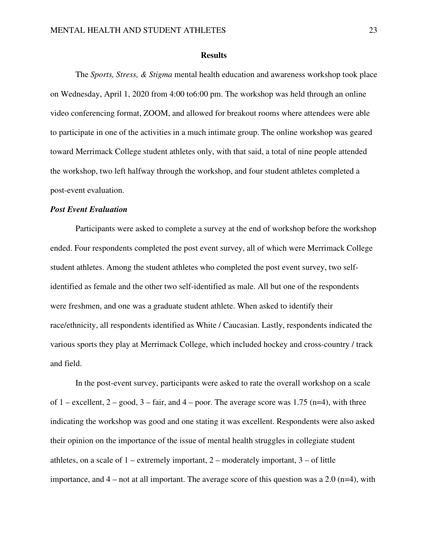#### **Results**

 The *Sports, Stress, & Stigma* mental health education and awareness workshop took place on Wednesday, April 1, 2020 from 4:00 to6:00 pm. The workshop was held through an online video conferencing format, ZOOM, and allowed for breakout rooms where attendees were able to participate in one of the activities in a much intimate group. The online workshop was geared toward Merrimack College student athletes only, with that said, a total of nine people attended the workshop, two left halfway through the workshop, and four student athletes completed a post-event evaluation.

#### *Post Event Evaluation*

 Participants were asked to complete a survey at the end of workshop before the workshop ended. Four respondents completed the post event survey, all of which were Merrimack College student athletes. Among the student athletes who completed the post event survey, two selfidentified as female and the other two self-identified as male. All but one of the respondents were freshmen, and one was a graduate student athlete. When asked to identify their race/ethnicity, all respondents identified as White / Caucasian. Lastly, respondents indicated the various sports they play at Merrimack College, which included hockey and cross-country / track and field.

 In the post-event survey, participants were asked to rate the overall workshop on a scale of 1 – excellent,  $2 - \text{good}$ ,  $3 - \text{fair}$ , and  $4 - \text{poor}$ . The average score was 1.75 (n=4), with three indicating the workshop was good and one stating it was excellent. Respondents were also asked their opinion on the importance of the issue of mental health struggles in collegiate student athletes, on a scale of  $1$  – extremely important,  $2$  – moderately important,  $3$  – of little importance, and  $4$  – not at all important. The average score of this question was a 2.0 (n=4), with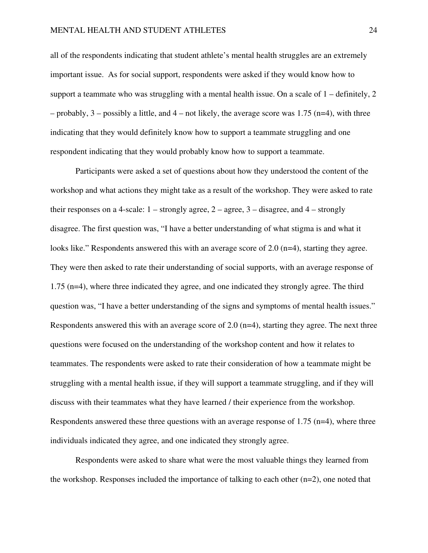all of the respondents indicating that student athlete's mental health struggles are an extremely important issue. As for social support, respondents were asked if they would know how to support a teammate who was struggling with a mental health issue. On a scale of  $1$  – definitely, 2 – probably,  $3$  – possibly a little, and  $4$  – not likely, the average score was 1.75 (n=4), with three indicating that they would definitely know how to support a teammate struggling and one respondent indicating that they would probably know how to support a teammate.

 Participants were asked a set of questions about how they understood the content of the workshop and what actions they might take as a result of the workshop. They were asked to rate their responses on a 4-scale:  $1$  – strongly agree,  $2$  – agree,  $3$  – disagree, and  $4$  – strongly disagree. The first question was, "I have a better understanding of what stigma is and what it looks like." Respondents answered this with an average score of 2.0 (n=4), starting they agree. They were then asked to rate their understanding of social supports, with an average response of 1.75 (n=4), where three indicated they agree, and one indicated they strongly agree. The third question was, "I have a better understanding of the signs and symptoms of mental health issues." Respondents answered this with an average score of 2.0 (n=4), starting they agree. The next three questions were focused on the understanding of the workshop content and how it relates to teammates. The respondents were asked to rate their consideration of how a teammate might be struggling with a mental health issue, if they will support a teammate struggling, and if they will discuss with their teammates what they have learned / their experience from the workshop. Respondents answered these three questions with an average response of 1.75 (n=4), where three individuals indicated they agree, and one indicated they strongly agree.

 Respondents were asked to share what were the most valuable things they learned from the workshop. Responses included the importance of talking to each other (n=2), one noted that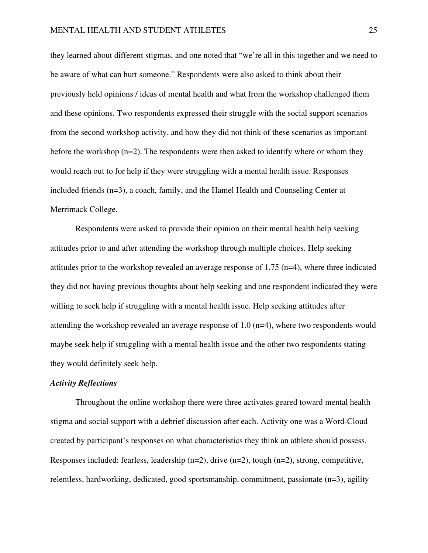they learned about different stigmas, and one noted that "we're all in this together and we need to be aware of what can hurt someone." Respondents were also asked to think about their previously held opinions / ideas of mental health and what from the workshop challenged them and these opinions. Two respondents expressed their struggle with the social support scenarios from the second workshop activity, and how they did not think of these scenarios as important before the workshop  $(n=2)$ . The respondents were then asked to identify where or whom they would reach out to for help if they were struggling with a mental health issue. Responses included friends (n=3), a coach, family, and the Hamel Health and Counseling Center at Merrimack College.

 Respondents were asked to provide their opinion on their mental health help seeking attitudes prior to and after attending the workshop through multiple choices. Help seeking attitudes prior to the workshop revealed an average response of 1.75 (n=4), where three indicated they did not having previous thoughts about help seeking and one respondent indicated they were willing to seek help if struggling with a mental health issue. Help seeking attitudes after attending the workshop revealed an average response of 1.0 (n=4), where two respondents would maybe seek help if struggling with a mental health issue and the other two respondents stating they would definitely seek help.

#### *Activity Reflections*

 Throughout the online workshop there were three activates geared toward mental health stigma and social support with a debrief discussion after each. Activity one was a Word-Cloud created by participant's responses on what characteristics they think an athlete should possess. Responses included: fearless, leadership (n=2), drive (n=2), tough (n=2), strong, competitive, relentless, hardworking, dedicated, good sportsmanship, commitment, passionate (n=3), agility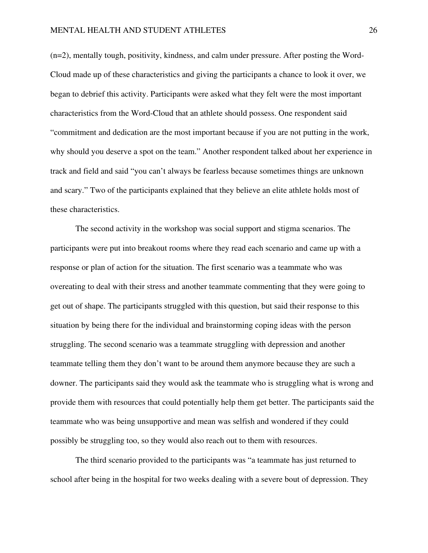(n=2), mentally tough, positivity, kindness, and calm under pressure. After posting the Word-Cloud made up of these characteristics and giving the participants a chance to look it over, we began to debrief this activity. Participants were asked what they felt were the most important characteristics from the Word-Cloud that an athlete should possess. One respondent said "commitment and dedication are the most important because if you are not putting in the work, why should you deserve a spot on the team." Another respondent talked about her experience in track and field and said "you can't always be fearless because sometimes things are unknown and scary." Two of the participants explained that they believe an elite athlete holds most of these characteristics.

 The second activity in the workshop was social support and stigma scenarios. The participants were put into breakout rooms where they read each scenario and came up with a response or plan of action for the situation. The first scenario was a teammate who was overeating to deal with their stress and another teammate commenting that they were going to get out of shape. The participants struggled with this question, but said their response to this situation by being there for the individual and brainstorming coping ideas with the person struggling. The second scenario was a teammate struggling with depression and another teammate telling them they don't want to be around them anymore because they are such a downer. The participants said they would ask the teammate who is struggling what is wrong and provide them with resources that could potentially help them get better. The participants said the teammate who was being unsupportive and mean was selfish and wondered if they could possibly be struggling too, so they would also reach out to them with resources.

The third scenario provided to the participants was "a teammate has just returned to school after being in the hospital for two weeks dealing with a severe bout of depression. They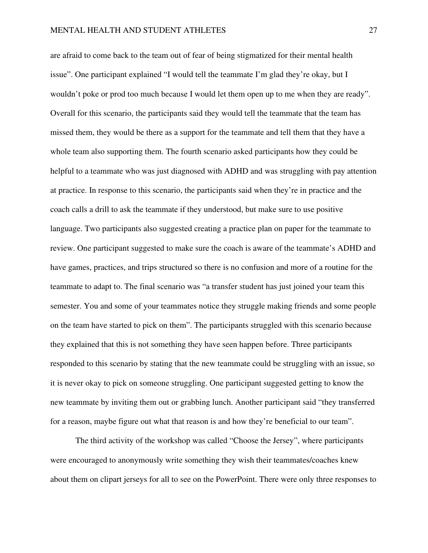are afraid to come back to the team out of fear of being stigmatized for their mental health issue". One participant explained "I would tell the teammate I'm glad they're okay, but I wouldn't poke or prod too much because I would let them open up to me when they are ready". Overall for this scenario, the participants said they would tell the teammate that the team has missed them, they would be there as a support for the teammate and tell them that they have a whole team also supporting them. The fourth scenario asked participants how they could be helpful to a teammate who was just diagnosed with ADHD and was struggling with pay attention at practice. In response to this scenario, the participants said when they're in practice and the coach calls a drill to ask the teammate if they understood, but make sure to use positive language. Two participants also suggested creating a practice plan on paper for the teammate to review. One participant suggested to make sure the coach is aware of the teammate's ADHD and have games, practices, and trips structured so there is no confusion and more of a routine for the teammate to adapt to. The final scenario was "a transfer student has just joined your team this semester. You and some of your teammates notice they struggle making friends and some people on the team have started to pick on them". The participants struggled with this scenario because they explained that this is not something they have seen happen before. Three participants responded to this scenario by stating that the new teammate could be struggling with an issue, so it is never okay to pick on someone struggling. One participant suggested getting to know the new teammate by inviting them out or grabbing lunch. Another participant said "they transferred for a reason, maybe figure out what that reason is and how they're beneficial to our team".

The third activity of the workshop was called "Choose the Jersey", where participants were encouraged to anonymously write something they wish their teammates/coaches knew about them on clipart jerseys for all to see on the PowerPoint. There were only three responses to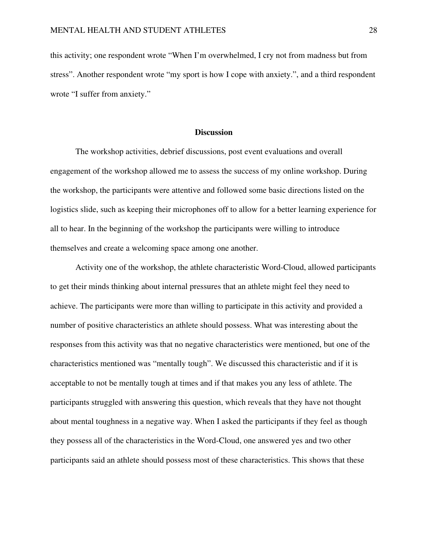this activity; one respondent wrote "When I'm overwhelmed, I cry not from madness but from stress". Another respondent wrote "my sport is how I cope with anxiety.", and a third respondent wrote "I suffer from anxiety."

#### **Discussion**

 The workshop activities, debrief discussions, post event evaluations and overall engagement of the workshop allowed me to assess the success of my online workshop. During the workshop, the participants were attentive and followed some basic directions listed on the logistics slide, such as keeping their microphones off to allow for a better learning experience for all to hear. In the beginning of the workshop the participants were willing to introduce themselves and create a welcoming space among one another.

 Activity one of the workshop, the athlete characteristic Word-Cloud, allowed participants to get their minds thinking about internal pressures that an athlete might feel they need to achieve. The participants were more than willing to participate in this activity and provided a number of positive characteristics an athlete should possess. What was interesting about the responses from this activity was that no negative characteristics were mentioned, but one of the characteristics mentioned was "mentally tough". We discussed this characteristic and if it is acceptable to not be mentally tough at times and if that makes you any less of athlete. The participants struggled with answering this question, which reveals that they have not thought about mental toughness in a negative way. When I asked the participants if they feel as though they possess all of the characteristics in the Word-Cloud, one answered yes and two other participants said an athlete should possess most of these characteristics. This shows that these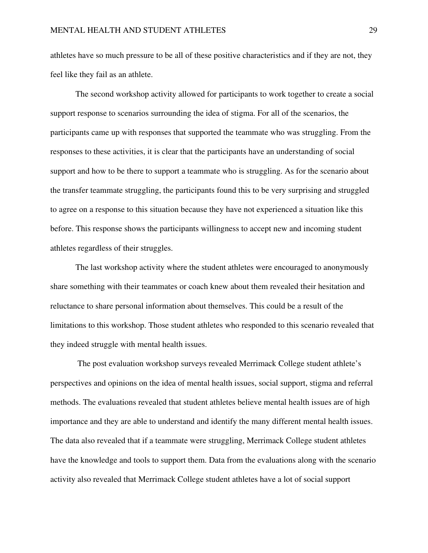athletes have so much pressure to be all of these positive characteristics and if they are not, they feel like they fail as an athlete.

 The second workshop activity allowed for participants to work together to create a social support response to scenarios surrounding the idea of stigma. For all of the scenarios, the participants came up with responses that supported the teammate who was struggling. From the responses to these activities, it is clear that the participants have an understanding of social support and how to be there to support a teammate who is struggling. As for the scenario about the transfer teammate struggling, the participants found this to be very surprising and struggled to agree on a response to this situation because they have not experienced a situation like this before. This response shows the participants willingness to accept new and incoming student athletes regardless of their struggles.

 The last workshop activity where the student athletes were encouraged to anonymously share something with their teammates or coach knew about them revealed their hesitation and reluctance to share personal information about themselves. This could be a result of the limitations to this workshop. Those student athletes who responded to this scenario revealed that they indeed struggle with mental health issues.

 The post evaluation workshop surveys revealed Merrimack College student athlete's perspectives and opinions on the idea of mental health issues, social support, stigma and referral methods. The evaluations revealed that student athletes believe mental health issues are of high importance and they are able to understand and identify the many different mental health issues. The data also revealed that if a teammate were struggling, Merrimack College student athletes have the knowledge and tools to support them. Data from the evaluations along with the scenario activity also revealed that Merrimack College student athletes have a lot of social support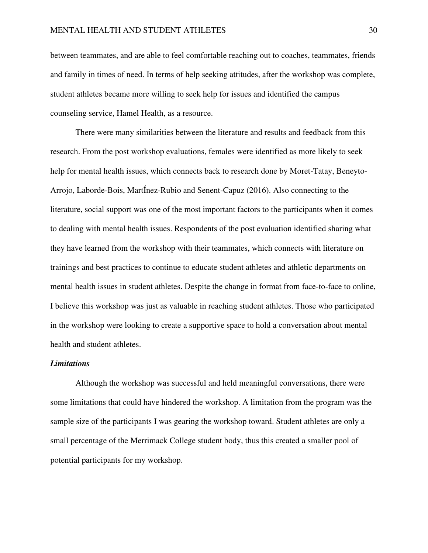between teammates, and are able to feel comfortable reaching out to coaches, teammates, friends and family in times of need. In terms of help seeking attitudes, after the workshop was complete, student athletes became more willing to seek help for issues and identified the campus counseling service, Hamel Health, as a resource.

There were many similarities between the literature and results and feedback from this research. From the post workshop evaluations, females were identified as more likely to seek help for mental health issues, which connects back to research done by Moret-Tatay, Beneyto-Arrojo, Laborde-Bois, MartÍnez-Rubio and Senent-Capuz (2016). Also connecting to the literature, social support was one of the most important factors to the participants when it comes to dealing with mental health issues. Respondents of the post evaluation identified sharing what they have learned from the workshop with their teammates, which connects with literature on trainings and best practices to continue to educate student athletes and athletic departments on mental health issues in student athletes. Despite the change in format from face-to-face to online, I believe this workshop was just as valuable in reaching student athletes. Those who participated in the workshop were looking to create a supportive space to hold a conversation about mental health and student athletes.

## *Limitations*

 Although the workshop was successful and held meaningful conversations, there were some limitations that could have hindered the workshop. A limitation from the program was the sample size of the participants I was gearing the workshop toward. Student athletes are only a small percentage of the Merrimack College student body, thus this created a smaller pool of potential participants for my workshop.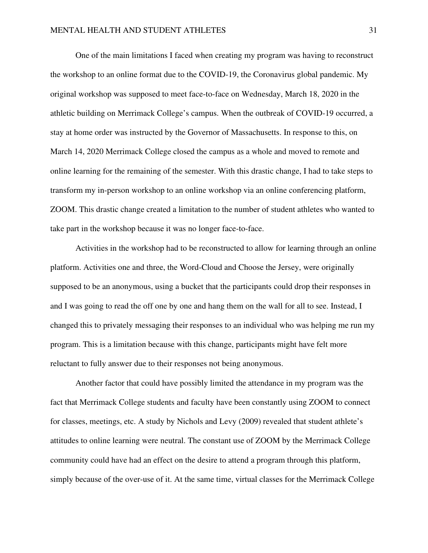One of the main limitations I faced when creating my program was having to reconstruct the workshop to an online format due to the COVID-19, the Coronavirus global pandemic. My original workshop was supposed to meet face-to-face on Wednesday, March 18, 2020 in the athletic building on Merrimack College's campus. When the outbreak of COVID-19 occurred, a stay at home order was instructed by the Governor of Massachusetts. In response to this, on March 14, 2020 Merrimack College closed the campus as a whole and moved to remote and online learning for the remaining of the semester. With this drastic change, I had to take steps to transform my in-person workshop to an online workshop via an online conferencing platform, ZOOM. This drastic change created a limitation to the number of student athletes who wanted to take part in the workshop because it was no longer face-to-face.

Activities in the workshop had to be reconstructed to allow for learning through an online platform. Activities one and three, the Word-Cloud and Choose the Jersey, were originally supposed to be an anonymous, using a bucket that the participants could drop their responses in and I was going to read the off one by one and hang them on the wall for all to see. Instead, I changed this to privately messaging their responses to an individual who was helping me run my program. This is a limitation because with this change, participants might have felt more reluctant to fully answer due to their responses not being anonymous.

Another factor that could have possibly limited the attendance in my program was the fact that Merrimack College students and faculty have been constantly using ZOOM to connect for classes, meetings, etc. A study by Nichols and Levy (2009) revealed that student athlete's attitudes to online learning were neutral. The constant use of ZOOM by the Merrimack College community could have had an effect on the desire to attend a program through this platform, simply because of the over-use of it. At the same time, virtual classes for the Merrimack College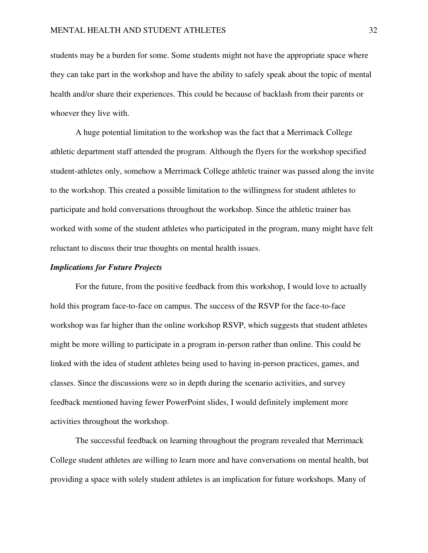students may be a burden for some. Some students might not have the appropriate space where they can take part in the workshop and have the ability to safely speak about the topic of mental health and/or share their experiences. This could be because of backlash from their parents or whoever they live with.

 A huge potential limitation to the workshop was the fact that a Merrimack College athletic department staff attended the program. Although the flyers for the workshop specified student-athletes only, somehow a Merrimack College athletic trainer was passed along the invite to the workshop. This created a possible limitation to the willingness for student athletes to participate and hold conversations throughout the workshop. Since the athletic trainer has worked with some of the student athletes who participated in the program, many might have felt reluctant to discuss their true thoughts on mental health issues.

#### *Implications for Future Projects*

 For the future, from the positive feedback from this workshop, I would love to actually hold this program face-to-face on campus. The success of the RSVP for the face-to-face workshop was far higher than the online workshop RSVP, which suggests that student athletes might be more willing to participate in a program in-person rather than online. This could be linked with the idea of student athletes being used to having in-person practices, games, and classes. Since the discussions were so in depth during the scenario activities, and survey feedback mentioned having fewer PowerPoint slides, I would definitely implement more activities throughout the workshop.

 The successful feedback on learning throughout the program revealed that Merrimack College student athletes are willing to learn more and have conversations on mental health, but providing a space with solely student athletes is an implication for future workshops. Many of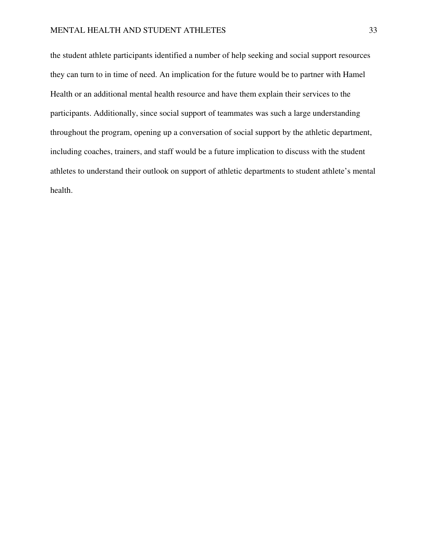## MENTAL HEALTH AND STUDENT ATHLETES 33

the student athlete participants identified a number of help seeking and social support resources they can turn to in time of need. An implication for the future would be to partner with Hamel Health or an additional mental health resource and have them explain their services to the participants. Additionally, since social support of teammates was such a large understanding throughout the program, opening up a conversation of social support by the athletic department, including coaches, trainers, and staff would be a future implication to discuss with the student athletes to understand their outlook on support of athletic departments to student athlete's mental health.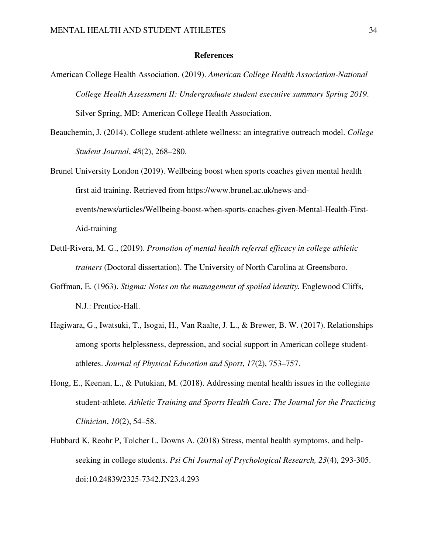#### **References**

- American College Health Association. (2019). *American College Health Association-National College Health Assessment II: Undergraduate student executive summary Spring 2019*. Silver Spring, MD: American College Health Association.
- Beauchemin, J. (2014). College student-athlete wellness: an integrative outreach model. *College Student Journal*, *48*(2), 268–280.
- Brunel University London (2019). Wellbeing boost when sports coaches given mental health first aid training. Retrieved from https://www.brunel.ac.uk/news-andevents/news/articles/Wellbeing-boost-when-sports-coaches-given-Mental-Health-First-Aid-training
- Dettl-Rivera, M. G., (2019). *Promotion of mental health referral efficacy in college athletic trainers* (Doctoral dissertation). The University of North Carolina at Greensboro.
- Goffman, E. (1963). *Stigma: Notes on the management of spoiled identity.* Englewood Cliffs, N.J.: Prentice-Hall.
- Hagiwara, G., Iwatsuki, T., Isogai, H., Van Raalte, J. L., & Brewer, B. W. (2017). Relationships among sports helplessness, depression, and social support in American college studentathletes. *Journal of Physical Education and Sport*, *17*(2), 753–757.
- Hong, E., Keenan, L., & Putukian, M. (2018). Addressing mental health issues in the collegiate student-athlete. *Athletic Training and Sports Health Care: The Journal for the Practicing Clinician*, *10*(2), 54–58.
- Hubbard K, Reohr P, Tolcher L, Downs A. (2018) Stress, mental health symptoms, and helpseeking in college students. *Psi Chi Journal of Psychological Research, 23*(4), 293-305. doi:10.24839/2325-7342.JN23.4.293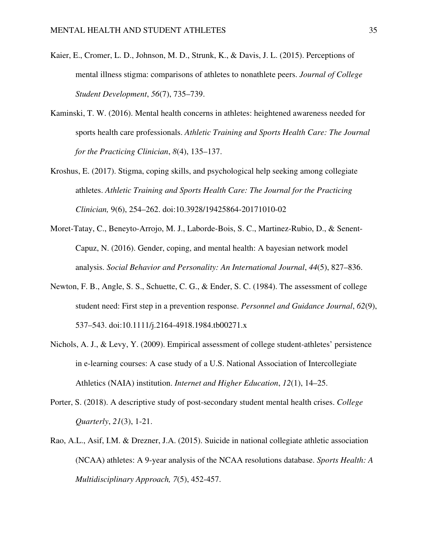- Kaier, E., Cromer, L. D., Johnson, M. D., Strunk, K., & Davis, J. L. (2015). Perceptions of mental illness stigma: comparisons of athletes to nonathlete peers. *Journal of College Student Development*, *56*(7), 735–739.
- Kaminski, T. W. (2016). Mental health concerns in athletes: heightened awareness needed for sports health care professionals. *Athletic Training and Sports Health Care: The Journal for the Practicing Clinician*, *8*(4), 135–137.
- Kroshus, E. (2017). Stigma, coping skills, and psychological help seeking among collegiate athletes. *Athletic Training and Sports Health Care: The Journal for the Practicing Clinician,* 9(6), 254–262. doi:10.3928/19425864-20171010-02
- Moret-Tatay, C., Beneyto-Arrojo, M. J., Laborde-Bois, S. C., Martinez-Rubio, D., & Senent-Capuz, N. (2016). Gender, coping, and mental health: A bayesian network model analysis. *Social Behavior and Personality: An International Journal*, *44*(5), 827–836.
- Newton, F. B., Angle, S. S., Schuette, C. G., & Ender, S. C. (1984). The assessment of college student need: First step in a prevention response. *Personnel and Guidance Journal*, *62*(9), 537–543. doi:10.1111/j.2164-4918.1984.tb00271.x
- Nichols, A. J., & Levy, Y. (2009). Empirical assessment of college student-athletes' persistence in e-learning courses: A case study of a U.S. National Association of Intercollegiate Athletics (NAIA) institution. *Internet and Higher Education*, *12*(1), 14–25.
- Porter, S. (2018). A descriptive study of post-secondary student mental health crises. *College Quarterly*, *21*(3), 1-21.
- Rao, A.L., Asif, I.M. & Drezner, J.A. (2015). Suicide in national collegiate athletic association (NCAA) athletes: A 9-year analysis of the NCAA resolutions database. *Sports Health: A Multidisciplinary Approach, 7*(5), 452-457.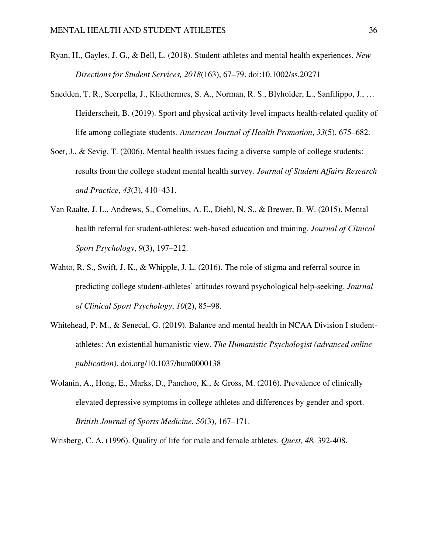- Ryan, H., Gayles, J. G., & Bell, L. (2018). Student‐athletes and mental health experiences. *New Directions for Student Services, 2018*(163), 67–79. doi:10.1002/ss.20271
- Snedden, T. R., Scerpella, J., Kliethermes, S. A., Norman, R. S., Blyholder, L., Sanfilippo, J., … Heiderscheit, B. (2019). Sport and physical activity level impacts health-related quality of life among collegiate students. *American Journal of Health Promotion*, *33*(5), 675–682.
- Soet, J., & Sevig, T. (2006). Mental health issues facing a diverse sample of college students: results from the college student mental health survey. *Journal of Student Affairs Research and Practice*, *43*(3), 410–431.
- Van Raalte, J. L., Andrews, S., Cornelius, A. E., Diehl, N. S., & Brewer, B. W. (2015). Mental health referral for student-athletes: web-based education and training. *Journal of Clinical Sport Psychology*, *9*(3), 197–212.
- Wahto, R. S., Swift, J. K., & Whipple, J. L. (2016). The role of stigma and referral source in predicting college student-athletes' attitudes toward psychological help-seeking. *Journal of Clinical Sport Psychology*, *10*(2), 85–98.
- Whitehead, P. M., & Senecal, G. (2019). Balance and mental health in NCAA Division I studentathletes: An existential humanistic view. *The Humanistic Psychologist (advanced online publication)*. doi.org/10.1037/hum0000138
- Wolanin, A., Hong, E., Marks, D., Panchoo, K., & Gross, M. (2016). Prevalence of clinically elevated depressive symptoms in college athletes and differences by gender and sport. *British Journal of Sports Medicine*, *50*(3), 167–171.

Wrisberg, C. A. (1996). Quality of life for male and female athletes. *Quest, 48,* 392-408.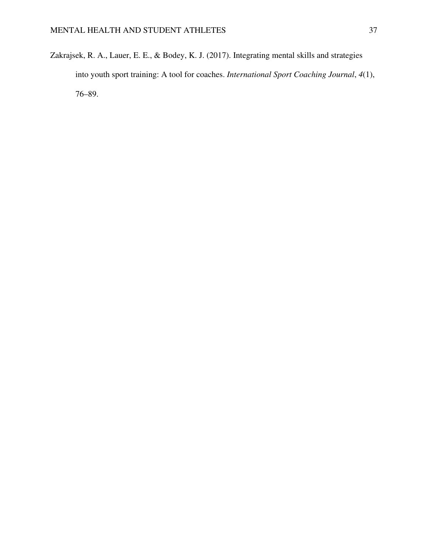Zakrajsek, R. A., Lauer, E. E., & Bodey, K. J. (2017). Integrating mental skills and strategies into youth sport training: A tool for coaches. *International Sport Coaching Journal*, *4*(1), 76–89.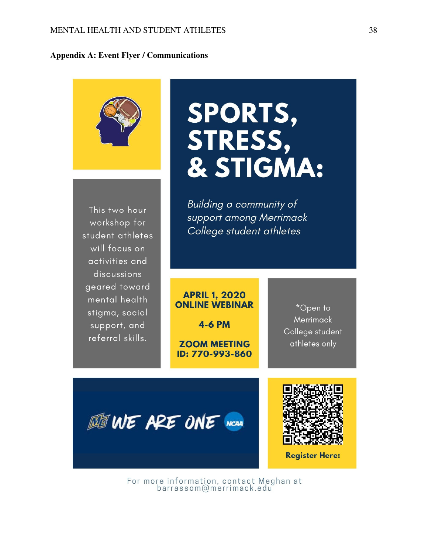## **Appendix A: Event Flyer / Communications**



This two hour workshop for student athletes will focus on activities and discussions geared toward mental health stigma, social support, and referral skills.

# SPORTS, STRESS, & STIGMA:

Building a community of support among Merrimack College student athletes

## **APRIL 1, 2020 ONLINE WEBINAR**

**4-6 PM** 

**ZOOM MEETING** ID: 770-993-860

\*Open to **Merrimack** College student athletes only





**Register Here:** 

For more information, contact Meghan at<br>barrassom@merrimack.edu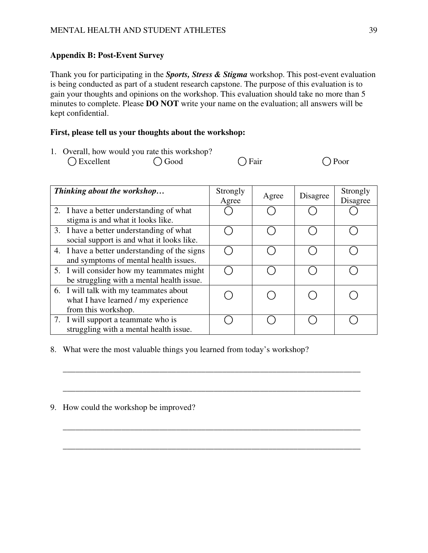## **Appendix B: Post-Event Survey**

Thank you for participating in the *Sports, Stress & Stigma* workshop. This post-event evaluation is being conducted as part of a student research capstone. The purpose of this evaluation is to gain your thoughts and opinions on the workshop. This evaluation should take no more than 5 minutes to complete. Please **DO NOT** write your name on the evaluation; all answers will be kept confidential.

## **First, please tell us your thoughts about the workshop:**

| 1. Overall, how would you rate this workshop? |                 |                |                |
|-----------------------------------------------|-----------------|----------------|----------------|
| $\bigcirc$ Excellent                          | $\bigcirc$ Good | $\bigcap$ Fair | $\bigcap$ Poor |

| Thinking about the workshop                                                                          | Strongly<br>Agree | Agree | Disagree | Strongly<br>Disagree |
|------------------------------------------------------------------------------------------------------|-------------------|-------|----------|----------------------|
| 2. I have a better understanding of what<br>stigma is and what it looks like.                        |                   |       |          |                      |
| 3. I have a better understanding of what<br>social support is and what it looks like.                |                   |       |          |                      |
| 4. I have a better understanding of the signs<br>and symptoms of mental health issues.               |                   |       |          |                      |
| 5. I will consider how my teammates might<br>be struggling with a mental health issue.               |                   |       |          |                      |
| 6. I will talk with my teammates about<br>what I have learned / my experience<br>from this workshop. |                   |       |          |                      |
| 7. I will support a teammate who is<br>struggling with a mental health issue.                        |                   |       |          |                      |

\_\_\_\_\_\_\_\_\_\_\_\_\_\_\_\_\_\_\_\_\_\_\_\_\_\_\_\_\_\_\_\_\_\_\_\_\_\_\_\_\_\_\_\_\_\_\_\_\_\_\_\_\_\_\_\_\_\_\_\_\_\_\_\_\_\_\_\_\_\_\_

\_\_\_\_\_\_\_\_\_\_\_\_\_\_\_\_\_\_\_\_\_\_\_\_\_\_\_\_\_\_\_\_\_\_\_\_\_\_\_\_\_\_\_\_\_\_\_\_\_\_\_\_\_\_\_\_\_\_\_\_\_\_\_\_\_\_\_\_\_\_\_

\_\_\_\_\_\_\_\_\_\_\_\_\_\_\_\_\_\_\_\_\_\_\_\_\_\_\_\_\_\_\_\_\_\_\_\_\_\_\_\_\_\_\_\_\_\_\_\_\_\_\_\_\_\_\_\_\_\_\_\_\_\_\_\_\_\_\_\_\_\_\_

\_\_\_\_\_\_\_\_\_\_\_\_\_\_\_\_\_\_\_\_\_\_\_\_\_\_\_\_\_\_\_\_\_\_\_\_\_\_\_\_\_\_\_\_\_\_\_\_\_\_\_\_\_\_\_\_\_\_\_\_\_\_\_\_\_\_\_\_\_\_\_

8. What were the most valuable things you learned from today's workshop?

9. How could the workshop be improved?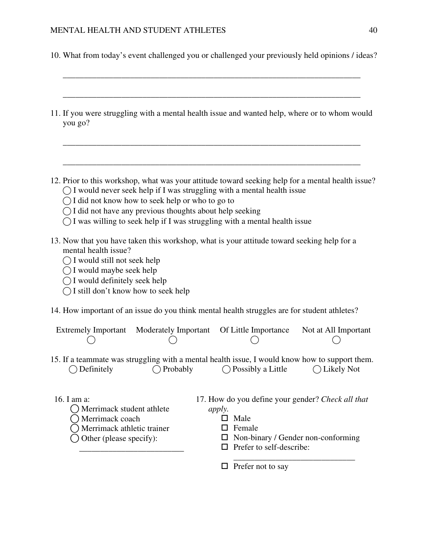10. What from today's event challenged you or challenged your previously held opinions / ideas?

\_\_\_\_\_\_\_\_\_\_\_\_\_\_\_\_\_\_\_\_\_\_\_\_\_\_\_\_\_\_\_\_\_\_\_\_\_\_\_\_\_\_\_\_\_\_\_\_\_\_\_\_\_\_\_\_\_\_\_\_\_\_\_\_\_\_\_\_\_\_\_

- \_\_\_\_\_\_\_\_\_\_\_\_\_\_\_\_\_\_\_\_\_\_\_\_\_\_\_\_\_\_\_\_\_\_\_\_\_\_\_\_\_\_\_\_\_\_\_\_\_\_\_\_\_\_\_\_\_\_\_\_\_\_\_\_\_\_\_\_\_\_\_ 11. If you were struggling with a mental health issue and wanted help, where or to whom would you go? \_\_\_\_\_\_\_\_\_\_\_\_\_\_\_\_\_\_\_\_\_\_\_\_\_\_\_\_\_\_\_\_\_\_\_\_\_\_\_\_\_\_\_\_\_\_\_\_\_\_\_\_\_\_\_\_\_\_\_\_\_\_\_\_\_\_\_\_\_\_\_ \_\_\_\_\_\_\_\_\_\_\_\_\_\_\_\_\_\_\_\_\_\_\_\_\_\_\_\_\_\_\_\_\_\_\_\_\_\_\_\_\_\_\_\_\_\_\_\_\_\_\_\_\_\_\_\_\_\_\_\_\_\_\_\_\_\_\_\_\_\_\_ 12. Prior to this workshop, what was your attitude toward seeking help for a mental health issue?  $\bigcap$  I would never seek help if I was struggling with a mental health issue  $\bigcap$  I did not know how to seek help or who to go to  $\bigcap$  I did not have any previous thoughts about help seeking  $\bigcap I$  was willing to seek help if I was struggling with a mental health issue 13. Now that you have taken this workshop, what is your attitude toward seeking help for a mental health issue?  $\bigcap$  I would still not seek help  $\bigcap$  I would maybe seek help  $\bigcap$  I would definitely seek help  $\bigcap$  I still don't know how to seek help 14. How important of an issue do you think mental health struggles are for student athletes? Extremely Important Moderately Important  $\bigcirc$  $\bigcap$ Of Little Importance  $\bigcap$ Not at All Important  $($ 15. If a teammate was struggling with a mental health issue, I would know how to support them. ⃝ Definitely ⃝ Probably ⃝ Possibly a Little ⃝ Likely Not 16. I am a:  $\bigcap$  Merrimack student athlete ⃝ Merrimack coach ⃝ Merrimack athletic trainer  $\bigcap$  Other (please specify): \_\_\_\_\_\_\_\_\_\_\_\_\_\_\_\_\_\_\_\_\_\_\_\_\_ 17. How do you define your gender? *Check all that apply.*  $\Box$  Male  $\square$  Female  $\square$  Non-binary / Gender non-conforming
	- $\Box$  Prefer to self-describe:

\_\_\_\_\_\_\_\_\_\_\_\_\_\_\_\_\_\_\_\_\_\_\_\_\_\_\_\_\_

 $\Box$  Prefer not to say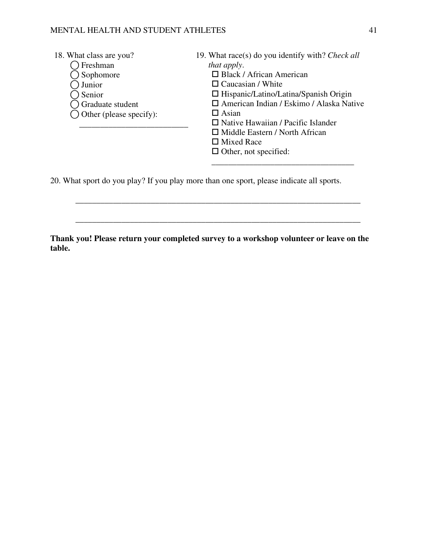## MENTAL HEALTH AND STUDENT ATHLETES 41

| 18. What class are you?            | 19. What race(s) do you identify with? Check all |
|------------------------------------|--------------------------------------------------|
| Freshman                           | <i>that apply.</i>                               |
| Sophomore                          | $\Box$ Black / African American                  |
| Junior                             | $\Box$ Caucasian / White                         |
| Senior                             | $\Box$ Hispanic/Latino/Latina/Spanish Origin     |
| <b>S</b> Graduate student          | $\Box$ American Indian / Eskimo / Alaska Native  |
| $\bigcirc$ Other (please specify): | $\Box$ Asian                                     |
|                                    | $\Box$ Native Hawaiian / Pacific Islander        |
|                                    | $\Box$ Middle Eastern / North African            |
|                                    | $\Box$ Mixed Race                                |
|                                    | $\Box$ Other, not specified:                     |
|                                    |                                                  |

20. What sport do you play? If you play more than one sport, please indicate all sports.

**Thank you! Please return your completed survey to a workshop volunteer or leave on the table.** 

\_\_\_\_\_\_\_\_\_\_\_\_\_\_\_\_\_\_\_\_\_\_\_\_\_\_\_\_\_\_\_\_\_\_\_\_\_\_\_\_\_\_\_\_\_\_\_\_\_\_\_\_\_\_\_\_\_\_\_\_\_\_\_\_\_\_\_\_